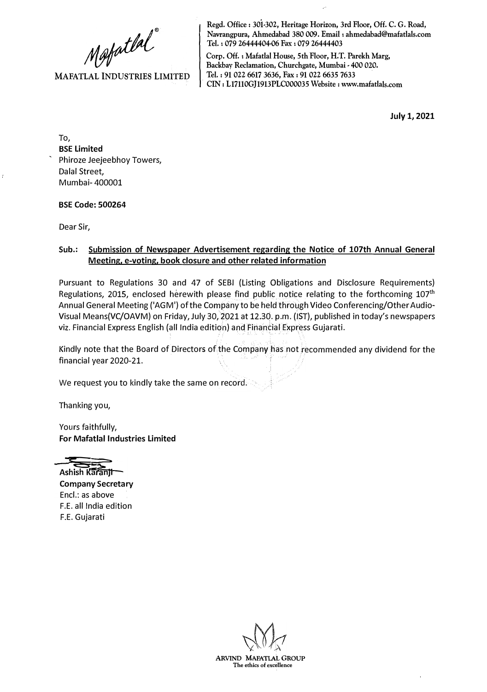Mapatlal"

**MAFATLAL INDUSTRIES LIMITED** 

**Regd. Office: 301-302, Heritage Horizon, 3rd Floor, Off. C. G. Road, Navrangpura, Ahmedabad 380 009. Email: ahmedabad@mafatlals.com Tel. : 079 26444404-06 Fax : 079 26444403** 

**Corp. Off. : Mafatlal House, 5th Floor, H.T. Parekh Marg,**  Backbay Reclamation, Churchgate, Mumbai - 400 020. **Tel. : 91 022 6617 3636, Fax: 91 022 6635 7633 CIN: L17110GJ1913PLC000035 Website : www.mafatlals.com** 

**July 1, 2021** 

To, **BSE Limited** Phiroze Jeejeebhoy Towers, Dalal Street, Mumbai- 400001

**BSE Code: 500264**

Dear Sir,

## **Sub.: Submission of Newspaper Advertisement regarding the Notice of 107th Annual General Meeting, e-voting, book closure and other related information**

Pursuant to Regulations 30 and 47 of SEBI (Listing Obligations and Disclosure Requirements) Regulations, 2015, enclosed herewith please find public notice relating to the forthcoming 107**th**  Annual General Meeting ('AGM') of the Company to be held through Video Conferencing/Other Audio-Visual Means(VC/OAVM) on Friday, July 30, 2021 at 12.30. p.m. (1ST), published in today's newspapers viz. Financial Express English (all India edition) and Financial Express Gujarati.

Kindly note that the Board of Directors of the Company has not recommended any dividend for the financial year 2020-21.

We request you to kindly take the same on record.

Thanking you,

Yours faithfully, **For Mafatlal Industries Limited**



**Company Secretary** Encl.: as above F.E. all India edition F.E. Gujarati

**ARVIND MAFATIAL GROUP The ethics of excellence**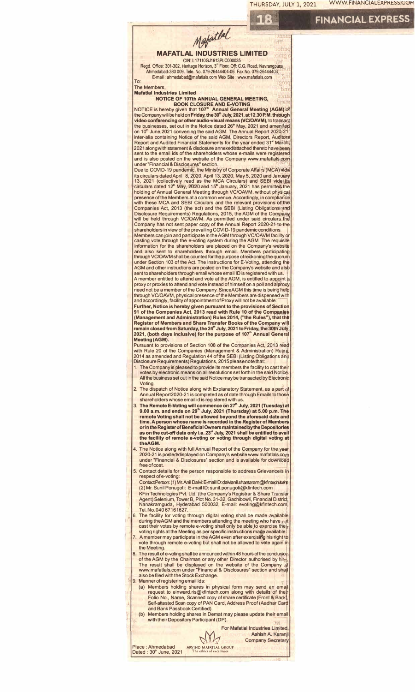



- 7. A member may participate in the AGM even after exercisirfg his right to vote through remote e-voting but shall not be allowed to vete again in the Meeting.
	- 8. The result of e-voting shall be announced within 48 hours of the conclusio The result of the AGM by the Chairman or any other Director authorised by him.<br>The result shall be displayed on the website of the Company at<br>www.mafatlals.com under "Financial & Disclosures" section and shall also be filed with the Stock Exchange.

Manner of registering email Ids:

- (a) Members holding shares in physical form may send an emall<br>request to einward.ris@kfintech.com along with details of their<br>Folio No., Name, Scanned copy of share certificate (Front & Back), Self-attested Scan copy of PAN Card, Address Proof (Aadhar Cara and Bank Passbook Certified). · I
- (b) Members holding shares in Demat may please update their email with their Depository Participant (DP).

NY

For Mafatlal Industries Limited Ashish A. Karanji **Company Secretary** 

Place : Ahmedabad ARVIND MAFATLAL GROUP<br>Dated : 30<sup>th</sup> June, 2021 The ethics of excellence Dated :  $30<sup>th</sup>$  June, 2021